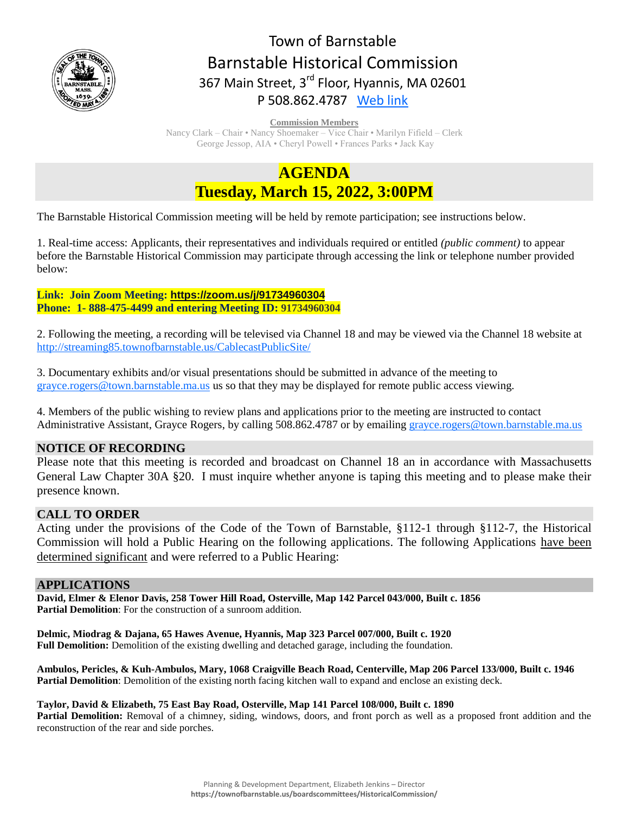

# Town of Barnstable Barnstable Historical Commission 367 Main Street, 3<sup>rd</sup> Floor, Hyannis, MA 02601 P 508.862.4787 [Web link](https://tobweb.town.barnstable.ma.us/boardscommittees/HistoricalCommission/default.asp?brd=Historical+Commission&year=2021)

**Commission Members**

Nancy Clark – Chair • Nancy Shoemaker – Vice Chair • Marilyn Fifield – Clerk George Jessop, AIA • Cheryl Powell • Frances Parks • Jack Kay

# **AGENDA Tuesday, March 15, 2022, 3:00PM**

The Barnstable Historical Commission meeting will be held by remote participation; see instructions below.

1. Real-time access: Applicants, their representatives and individuals required or entitled *(public comment)* to appear before the Barnstable Historical Commission may participate through accessing the link or telephone number provided below:

## **Link: Join Zoom Meeting: <https://zoom.us/j/91734960304> Phone: 1- 888-475-4499 and entering Meeting ID: 91734960304**

2. Following the meeting, a recording will be televised via Channel 18 and may be viewed via the Channel 18 website at <http://streaming85.townofbarnstable.us/CablecastPublicSite/>

3. Documentary exhibits and/or visual presentations should be submitted in advance of the meeting to [grayce.rogers@town.barnstable.ma.us](mailto:grayce.rogers@town.barnstable.ma.us) us so that they may be displayed for remote public access viewing.

4. Members of the public wishing to review plans and applications prior to the meeting are instructed to contact Administrative Assistant, Grayce Rogers, by calling 508.862.4787 or by emailing [grayce.rogers@town.barnstable.ma.us](mailto:grayce.rogers@town.barnstable.ma.us)

# **NOTICE OF RECORDING**

Please note that this meeting is recorded and broadcast on Channel 18 an in accordance with Massachusetts General Law Chapter 30A §20. I must inquire whether anyone is taping this meeting and to please make their presence known.

# **CALL TO ORDER**

Acting under the provisions of the Code of the Town of Barnstable, §112-1 through §112-7, the Historical Commission will hold a Public Hearing on the following applications. The following Applications have been determined significant and were referred to a Public Hearing:

# **APPLICATIONS**

**David, Elmer & Elenor Davis, 258 Tower Hill Road, Osterville, Map 142 Parcel 043/000, Built c. 1856 Partial Demolition**: For the construction of a sunroom addition.

**Delmic, Miodrag & Dajana, 65 Hawes Avenue, Hyannis, Map 323 Parcel 007/000, Built c. 1920 Full Demolition:** Demolition of the existing dwelling and detached garage, including the foundation.

**Ambulos, Pericles, & Kuh-Ambulos, Mary, 1068 Craigville Beach Road, Centerville, Map 206 Parcel 133/000, Built c. 1946 Partial Demolition**: Demolition of the existing north facing kitchen wall to expand and enclose an existing deck.

### **Taylor, David & Elizabeth, 75 East Bay Road, Osterville, Map 141 Parcel 108/000, Built c. 1890**

Partial Demolition: Removal of a chimney, siding, windows, doors, and front porch as well as a proposed front addition and the reconstruction of the rear and side porches.